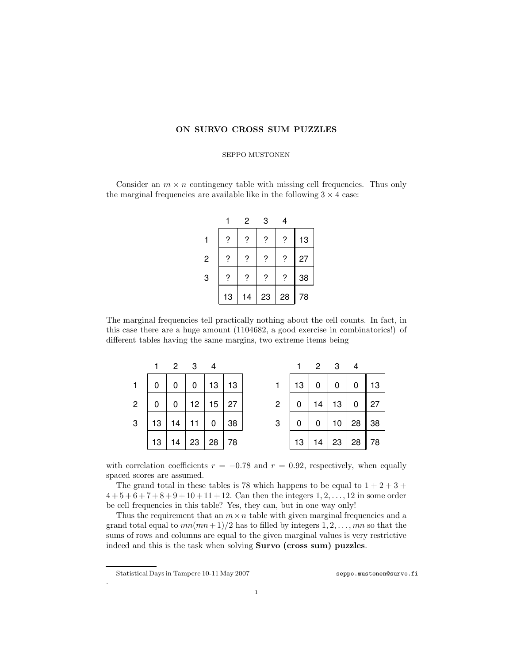## ON SURVO CROSS SUM PUZZLES

## SEPPO MUSTONEN

Consider an  $m \times n$  contingency table with missing cell frequencies. Thus only the marginal frequencies are available like in the following  $3 \times 4$  case:

|                |    | 2  | 3  | 4  |    |
|----------------|----|----|----|----|----|
|                | ?  | ?  | ?  | ?  | 13 |
| $\overline{c}$ | ?  | ?  | ?  | ?  | 27 |
| 3              | ?  | ?  | ?  | ?  | 38 |
|                | 13 | 14 | 23 | 28 | 78 |

The marginal frequencies tell practically nothing about the cell counts. In fact, in this case there are a huge amount (1104682, a good exercise in combinatorics!) of different tables having the same margins, two extreme items being

|                |    |    | $2 \quad 3 \quad 4$ |              |    |                |    |    | $2 \t3$         | 4  |    |
|----------------|----|----|---------------------|--------------|----|----------------|----|----|-----------------|----|----|
|                | 0  |    | 0                   | 13 13        |    |                | 13 | 0  | 0               | 0  | 13 |
| $\overline{2}$ | 0  | 0  | 12                  | $15 \mid 27$ |    | $\overline{2}$ | 0  | 14 | 13 <sup>7</sup> | 0  | 27 |
| 3              | 13 | 14 |                     | 0            | 38 | 3              | 0  | 0  | 10 <sup>1</sup> | 28 | 38 |
|                | 13 | 14 | 23                  | 28           | 78 |                | 13 | 14 | 23              | 28 | 78 |

with correlation coefficients  $r = -0.78$  and  $r = 0.92$ , respectively, when equally spaced scores are assumed.

The grand total in these tables is 78 which happens to be equal to  $1 + 2 + 3 +$  $4+5+6+7+8+9+10+11+12$ . Can then the integers  $1, 2, ..., 12$  in some order be cell frequencies in this table? Yes, they can, but in one way only!

Thus the requirement that an  $m \times n$  table with given marginal frequencies and a grand total equal to  $mn(mn+1)/2$  has to filled by integers  $1, 2, \ldots, mn$  so that the sums of rows and columns are equal to the given marginal values is very restrictive indeed and this is the task when solving Survo (cross sum) puzzles.

.

Statistical Days in Tampere 10-11 May 2007 [seppo.mustonen@survo.fi](mailto:seppo.mustonen@survo.fi)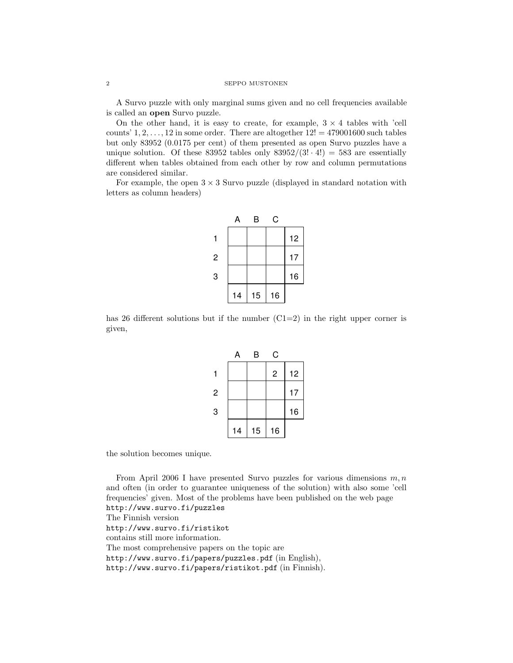A Survo puzzle with only marginal sums given and no cell frequencies available is called an open Survo puzzle.

On the other hand, it is easy to create, for example,  $3 \times 4$  tables with 'cell counts'  $1, 2, \ldots, 12$  in some order. There are altogether  $12! = 479001600$  such tables but only 83952 (0.0175 per cent) of them presented as open Survo puzzles have a unique solution. Of these 83952 tables only  $83952/(3! \cdot 4!) = 583$  are essentially different when tables obtained from each other by row and column permutations are considered similar.

For example, the open  $3 \times 3$  Survo puzzle (displayed in standard notation with letters as column headers)

|   | Α  | В  | С  |    |
|---|----|----|----|----|
|   |    |    |    | 12 |
| 2 |    |    |    | 17 |
| 3 |    |    |    | 16 |
|   | 14 | 15 | 16 |    |

has 26 different solutions but if the number  $(C1=2)$  in the right upper corner is given,

|                | Α  | B  | С              |    |
|----------------|----|----|----------------|----|
|                |    |    | $\overline{c}$ | 12 |
| $\overline{c}$ |    |    |                | 17 |
| 3              |    |    |                | 16 |
|                | 14 | 15 | 16             |    |

the solution becomes unique.

From April 2006 I have presented Survo puzzles for various dimensions  $m, n$ and often (in order to guarantee uniqueness of the solution) with also some 'cell frequencies' given. Most of the problems have been published on the web page <http://www.survo.fi/puzzles> The Finnish version <http://www.survo.fi/ristikot> contains still more information. The most comprehensive papers on the topic are <http://www.survo.fi/papers/puzzles.pdf> (in English), <http://www.survo.fi/papers/ristikot.pdf> (in Finnish).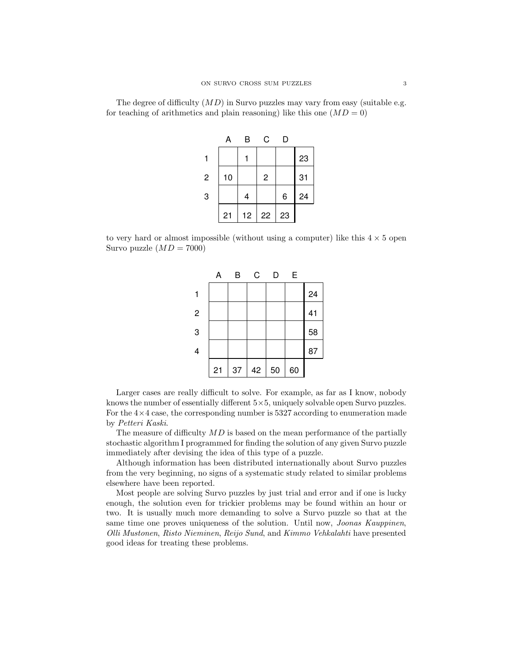The degree of difficulty  $(MD)$  in Survo puzzles may vary from easy (suitable e.g. for teaching of arithmetics and plain reasoning) like this one  $(MD = 0)$ 

|                | А  | В  | С              | D  |    |
|----------------|----|----|----------------|----|----|
|                |    |    |                |    | 23 |
| $\overline{2}$ | 10 |    | $\overline{c}$ |    | 31 |
| 3              |    | 4  |                | 6  | 24 |
|                | 21 | 12 | 22             | 23 |    |

to very hard or almost impossible (without using a computer) like this  $4 \times 5$  open Survo puzzle  $(MD = 7000)$ 



Larger cases are really difficult to solve. For example, as far as I know, nobody knows the number of essentially different 5×5, uniquely solvable open Survo puzzles. For the  $4\times 4$  case, the corresponding number is 5327 according to enumeration made by Petteri Kaski.

The measure of difficulty  $MD$  is based on the mean performance of the partially stochastic algorithm I programmed for finding the solution of any given Survo puzzle immediately after devising the idea of this type of a puzzle.

Although information has been distributed internationally about Survo puzzles from the very beginning, no signs of a systematic study related to similar problems elsewhere have been reported.

Most people are solving Survo puzzles by just trial and error and if one is lucky enough, the solution even for trickier problems may be found within an hour or two. It is usually much more demanding to solve a Survo puzzle so that at the same time one proves uniqueness of the solution. Until now, *Joonas Kauppinen*, Olli Mustonen, Risto Nieminen, Reijo Sund, and Kimmo Vehkalahti have presented good ideas for treating these problems.